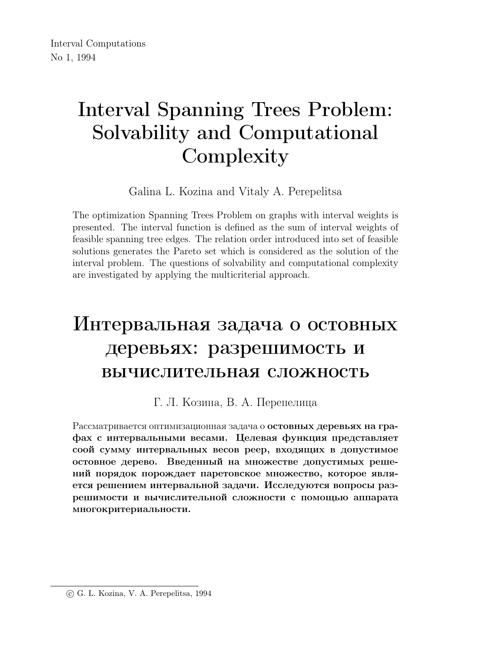# Interval Spanning Trees Problem: Solvability and Computational **Complexity**

Galina L. Kozina and Vitaly A. Perepelitsa

The optimization Spanning Trees Problem on graphs with interval weights is presented. The interval function is defined as the sum of interval weights of feasible spanning tree edges. The relation order introduced into set of feasible solutions generates the Pareto set which is considered as the solution of the interval problem. The questions of solvability and computational complexity are investigated by applying the multicriterial approach.

# Интервальная задача о остовных деревьях: разрешимость и вычислительная сложность

#### Г. Л. Козина, В. А. Перепелица

Рассматривается оптимизационная задача о остовных деревьях на графах с интервальными весами. Целевая функция представляет соой сумму интервальных весов реер, входящих в допустимое остовное дерево. Введенный на множестве допустимых решений порядок порождает паретовское множество, которое является решением интервальной задачи. Исследуются вопросы разрешимости и вычислительной сложности с помощью аппарата многокритериальности.

c G. L. Kozina, V. A. Perepelitsa, 1994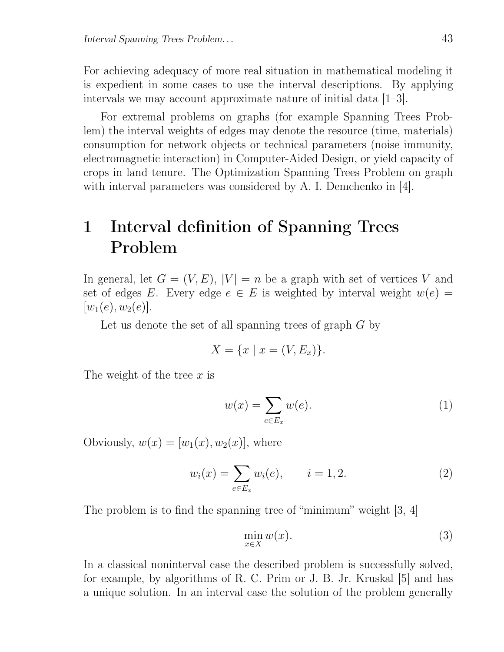For achieving adequacy of more real situation in mathematical modeling it is expedient in some cases to use the interval descriptions. By applying intervals we may account approximate nature of initial data [1–3].

For extremal problems on graphs (for example Spanning Trees Problem) the interval weights of edges may denote the resource (time, materials) consumption for network objects or technical parameters (noise immunity, electromagnetic interaction) in Computer-Aided Design, or yield capacity of crops in land tenure. The Optimization Spanning Trees Problem on graph with interval parameters was considered by A. I. Demchenko in [4].

## 1 Interval definition of Spanning Trees Problem

In general, let  $G = (V, E), |V| = n$  be a graph with set of vertices V and set of edges E. Every edge  $e \in E$  is weighted by interval weight  $w(e) =$  $|w_1(e), w_2(e)|.$ 

Let us denote the set of all spanning trees of graph  $G$  by

$$
X = \{x \mid x = (V, E_x)\}.
$$

The weight of the tree  $x$  is

$$
w(x) = \sum_{e \in E_x} w(e). \tag{1}
$$

Obviously,  $w(x) = [w_1(x), w_2(x)]$ , where

$$
w_i(x) = \sum_{e \in E_x} w_i(e), \qquad i = 1, 2.
$$
 (2)

The problem is to find the spanning tree of "minimum" weight [3, 4]

$$
\min_{x \in X} w(x). \tag{3}
$$

In a classical noninterval case the described problem is successfully solved, for example, by algorithms of R. C. Prim or J. B. Jr. Kruskal [5] and has a unique solution. In an interval case the solution of the problem generally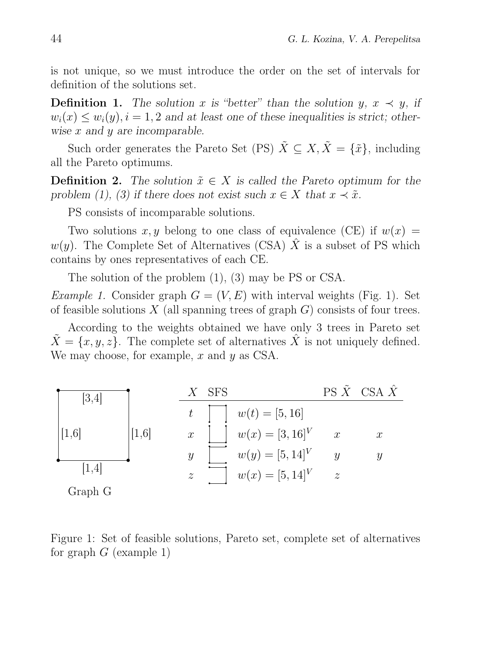is not unique, so we must introduce the order on the set of intervals for definition of the solutions set.

**Definition 1.** The solution x is "better" than the solution y,  $x \prec y$ , if  $w_i(x) \leq w_i(y), i = 1, 2$  and at least one of these inequalities is strict; otherwise  $x$  and  $y$  are incomparable.

Such order generates the Pareto Set (PS)  $\tilde{X} \subseteq X, \tilde{X} = {\tilde{x}}$ , including all the Pareto optimums.

**Definition 2.** The solution  $\tilde{x} \in X$  is called the Pareto optimum for the problem (1), (3) if there does not exist such  $x \in X$  that  $x \prec \tilde{x}$ .

PS consists of incomparable solutions.

Two solutions x, y belong to one class of equivalence (CE) if  $w(x) =$  $w(y)$ . The Complete Set of Alternatives (CSA) X is a subset of PS which contains by ones representatives of each CE.

The solution of the problem (1), (3) may be PS or CSA.

*Example 1.* Consider graph  $G = (V, E)$  with interval weights (Fig. 1). Set of feasible solutions  $X$  (all spanning trees of graph  $G$ ) consists of four trees.

According to the weights obtained we have only 3 trees in Pareto set  $\hat{X} = \{x, y, z\}$ . The complete set of alternatives  $\hat{X}$  is not uniquely defined. We may choose, for example,  $x$  and  $y$  as CSA.



Figure 1: Set of feasible solutions, Pareto set, complete set of alternatives for graph  $G$  (example 1)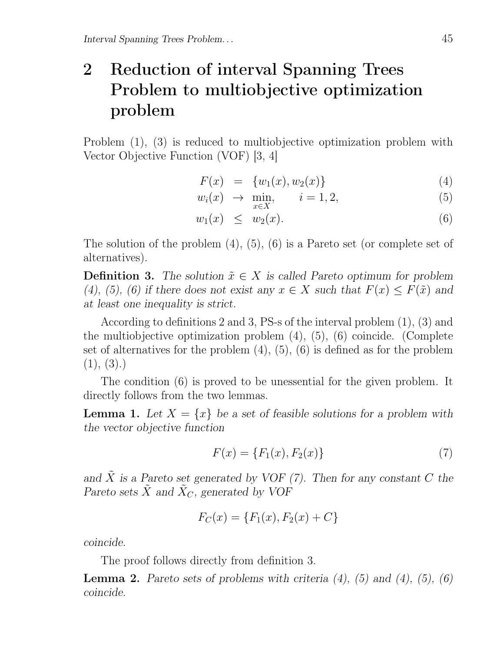# 2 Reduction of interval Spanning Trees Problem to multiobjective optimization problem

Problem (1), (3) is reduced to multiobjective optimization problem with Vector Objective Function (VOF) [3, 4]

$$
F(x) = \{w_1(x), w_2(x)\}\tag{4}
$$

$$
w_i(x) \rightarrow \min_{x \in X}, \qquad i = 1, 2,
$$
\n<sup>(5)</sup>

$$
w_1(x) \leq w_2(x). \tag{6}
$$

The solution of the problem (4), (5), (6) is a Pareto set (or complete set of alternatives).

**Definition 3.** The solution  $\tilde{x} \in X$  is called Pareto optimum for problem (4), (5), (6) if there does not exist any  $x \in X$  such that  $F(x) \leq F(\tilde{x})$  and at least one inequality is strict.

According to definitions 2 and 3, PS-s of the interval problem (1), (3) and the multiobjective optimization problem (4), (5), (6) coincide. (Complete set of alternatives for the problem  $(4)$ ,  $(5)$ ,  $(6)$  is defined as for the problem  $(1), (3).$ 

The condition (6) is proved to be unessential for the given problem. It directly follows from the two lemmas.

**Lemma 1.** Let  $X = \{x\}$  be a set of feasible solutions for a problem with the vector objective function

$$
F(x) = \{F_1(x), F_2(x)\}\tag{7}
$$

and  $\tilde{X}$  is a Pareto set generated by VOF (7). Then for any constant C the Pareto sets  $\tilde{X}$  and  $\tilde{X}_C$ , generated by VOF

$$
F_C(x) = \{F_1(x), F_2(x) + C\}
$$

coincide.

The proof follows directly from definition 3.

**Lemma 2.** Pareto sets of problems with criteria  $(4)$ ,  $(5)$  and  $(4)$ ,  $(5)$ ,  $(6)$ coincide.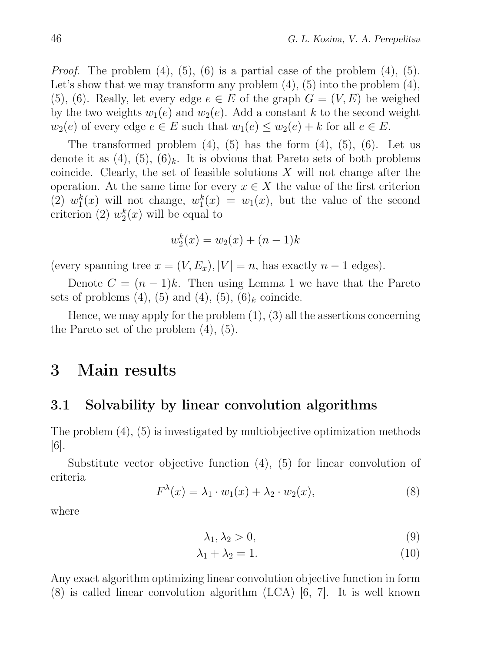*Proof.* The problem  $(4)$ ,  $(5)$ ,  $(6)$  is a partial case of the problem  $(4)$ ,  $(5)$ . Let's show that we may transform any problem  $(4)$ ,  $(5)$  into the problem  $(4)$ , (5), (6). Really, let every edge  $e \in E$  of the graph  $G = (V, E)$  be weighed by the two weights  $w_1(e)$  and  $w_2(e)$ . Add a constant k to the second weight  $w_2(e)$  of every edge  $e \in E$  such that  $w_1(e) \leq w_2(e) + k$  for all  $e \in E$ .

The transformed problem  $(4)$ ,  $(5)$  has the form  $(4)$ ,  $(5)$ ,  $(6)$ . Let us denote it as  $(4)$ ,  $(5)$ ,  $(6)_k$ . It is obvious that Pareto sets of both problems coincide. Clearly, the set of feasible solutions  $X$  will not change after the operation. At the same time for every  $x \in X$  the value of the first criterion  $(2) w_1^k$  $h_1^k(x)$  will not change,  $w_1^k$  $y_1^k(x) = w_1(x)$ , but the value of the second criterion (2)  $w_2^k$  $_{2}^{k}(x)$  will be equal to

$$
w_2^k(x) = w_2(x) + (n-1)k
$$

(every spanning tree  $x = (V, E_x), |V| = n$ , has exactly  $n - 1$  edges).

Denote  $C = (n-1)k$ . Then using Lemma 1 we have that the Pareto sets of problems  $(4)$ ,  $(5)$  and  $(4)$ ,  $(5)$ ,  $(6)_k$  coincide.

Hence, we may apply for the problem  $(1)$ ,  $(3)$  all the assertions concerning the Pareto set of the problem (4), (5).

## 3 Main results

#### 3.1 Solvability by linear convolution algorithms

The problem (4), (5) is investigated by multiobjective optimization methods [6].

Substitute vector objective function (4), (5) for linear convolution of criteria

$$
F^{\lambda}(x) = \lambda_1 \cdot w_1(x) + \lambda_2 \cdot w_2(x), \qquad (8)
$$

where

$$
\lambda_1, \lambda_2 > 0,\tag{9}
$$

$$
\lambda_1 + \lambda_2 = 1. \tag{10}
$$

Any exact algorithm optimizing linear convolution objective function in form  $(8)$  is called linear convolution algorithm  $(LCA)$   $[6, 7]$ . It is well known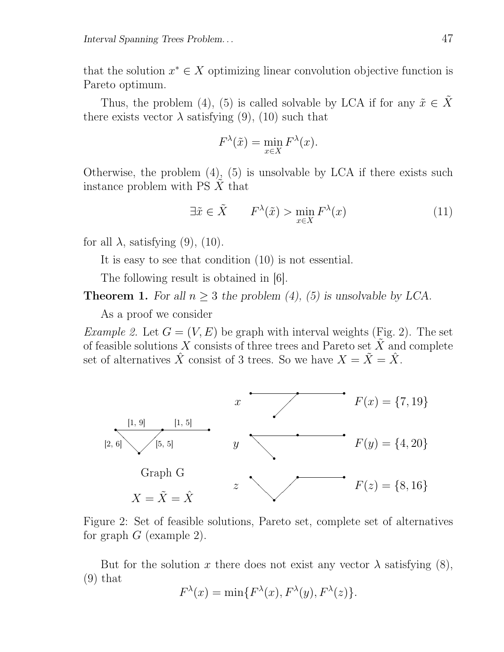that the solution  $x^* \in X$  optimizing linear convolution objective function is Pareto optimum.

Thus, the problem (4), (5) is called solvable by LCA if for any  $\tilde{x} \in \tilde{X}$ there exists vector  $\lambda$  satisfying (9), (10) such that

$$
F^{\lambda}(\tilde{x}) = \min_{x \in X} F^{\lambda}(x).
$$

Otherwise, the problem (4), (5) is unsolvable by LCA if there exists such instance problem with  $PS X$  that

$$
\exists \tilde{x} \in \tilde{X} \qquad F^{\lambda}(\tilde{x}) > \min_{x \in X} F^{\lambda}(x) \tag{11}
$$

for all  $\lambda$ , satisfying (9), (10).

It is easy to see that condition (10) is not essential.

The following result is obtained in  $[6]$ .

**Theorem 1.** For all  $n \geq 3$  the problem (4), (5) is unsolvable by LCA.

As a proof we consider

*Example 2.* Let  $G = (V, E)$  be graph with interval weights (Fig. 2). The set of feasible solutions X consists of three trees and Pareto set  $\tilde{X}$  and complete set of alternatives  $\hat{X}$  consist of 3 trees. So we have  $X = \tilde{X} = \hat{X}$ .





But for the solution x there does not exist any vector  $\lambda$  satisfying (8), (9) that

$$
F^{\lambda}(x) = \min\{F^{\lambda}(x), F^{\lambda}(y), F^{\lambda}(z)\}.
$$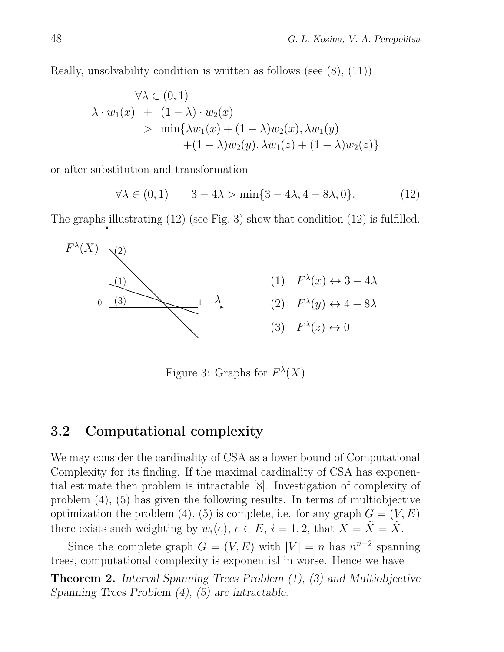Really, unsolvability condition is written as follows (see (8), (11))

$$
\forall \lambda \in (0, 1)
$$
  
\n
$$
\lambda \cdot w_1(x) + (1 - \lambda) \cdot w_2(x)
$$
  
\n
$$
> \min{\lambda w_1(x) + (1 - \lambda)w_2(x), \lambda w_1(y) + (1 - \lambda)w_2(y), \lambda w_1(z) + (1 - \lambda)w_2(z)}
$$

or after substitution and transformation

$$
\forall \lambda \in (0,1) \qquad 3-4\lambda > \min\{3-4\lambda, 4-8\lambda, 0\}. \tag{12}
$$

The graphs illustrating (12) (see Fig. 3) show that condition (12) is fulfilled.



Figure 3: Graphs for  $F^{\lambda}(X)$ 

#### 3.2 Computational complexity

We may consider the cardinality of CSA as a lower bound of Computational Complexity for its finding. If the maximal cardinality of CSA has exponential estimate then problem is intractable [8]. Investigation of complexity of problem (4), (5) has given the following results. In terms of multiobjective optimization the problem (4), (5) is complete, i.e. for any graph  $G = (V, E)$ there exists such weighting by  $w_i(e)$ ,  $e \in E$ ,  $i = 1, 2$ , that  $X = \tilde{X} = \tilde{X}$ .

Since the complete graph  $G = (V, E)$  with  $|V| = n$  has  $n^{n-2}$  spanning trees, computational complexity is exponential in worse. Hence we have

Theorem 2. Interval Spanning Trees Problem (1), (3) and Multiobjective Spanning Trees Problem (4), (5) are intractable.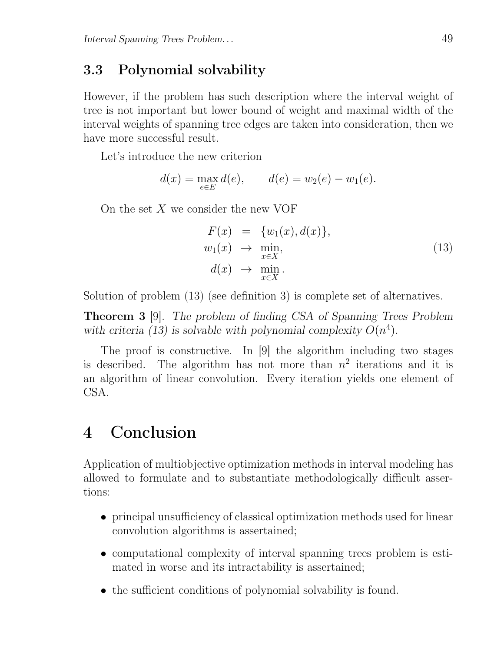### 3.3 Polynomial solvability

However, if the problem has such description where the interval weight of tree is not important but lower bound of weight and maximal width of the interval weights of spanning tree edges are taken into consideration, then we have more successful result.

Let's introduce the new criterion

$$
d(x) = \max_{e \in E} d(e), \qquad d(e) = w_2(e) - w_1(e).
$$

On the set  $X$  we consider the new VOF

$$
F(x) = \{w_1(x), d(x)\},
$$
  
\n
$$
w_1(x) \rightarrow \min_{x \in X},
$$
  
\n
$$
d(x) \rightarrow \min_{x \in X}.
$$
\n(13)

Solution of problem (13) (see definition 3) is complete set of alternatives.

Theorem 3 [9]. The problem of finding CSA of Spanning Trees Problem with criteria (13) is solvable with polynomial complexity  $O(n^4)$ .

The proof is constructive. In [9] the algorithm including two stages is described. The algorithm has not more than  $n^2$  iterations and it is an algorithm of linear convolution. Every iteration yields one element of CSA.

## 4 Conclusion

Application of multiobjective optimization methods in interval modeling has allowed to formulate and to substantiate methodologically difficult assertions:

- principal unsufficiency of classical optimization methods used for linear convolution algorithms is assertained;
- computational complexity of interval spanning trees problem is estimated in worse and its intractability is assertained;
- the sufficient conditions of polynomial solvability is found.